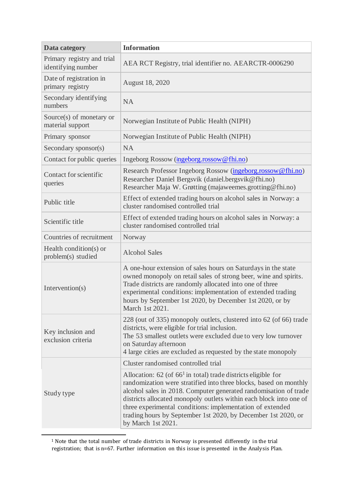| <b>Data category</b>                             | <b>Information</b>                                                                                                                                                                                                                                                                                                                                                                                                                   |
|--------------------------------------------------|--------------------------------------------------------------------------------------------------------------------------------------------------------------------------------------------------------------------------------------------------------------------------------------------------------------------------------------------------------------------------------------------------------------------------------------|
| Primary registry and trial<br>identifying number | AEA RCT Registry, trial identifier no. AEARCTR-0006290                                                                                                                                                                                                                                                                                                                                                                               |
| Date of registration in<br>primary registry      | August 18, 2020                                                                                                                                                                                                                                                                                                                                                                                                                      |
| Secondary identifying<br>numbers                 | <b>NA</b>                                                                                                                                                                                                                                                                                                                                                                                                                            |
| Source $(s)$ of monetary or<br>material support  | Norwegian Institute of Public Health (NIPH)                                                                                                                                                                                                                                                                                                                                                                                          |
| Primary sponsor                                  | Norwegian Institute of Public Health (NIPH)                                                                                                                                                                                                                                                                                                                                                                                          |
| Secondary sponsor(s)                             | <b>NA</b>                                                                                                                                                                                                                                                                                                                                                                                                                            |
| Contact for public queries                       | Ingeborg Rossow (ingeborg.rossow@fhi.no)                                                                                                                                                                                                                                                                                                                                                                                             |
| Contact for scientific<br>queries                | Research Professor Ingeborg Rossow (ingeborg.rossow@fhi.no)<br>Researcher Daniel Bergsvik (daniel.bergsvik@fhi.no)<br>Researcher Maja W. Grøtting (majaweemes.grotting@fhi.no)                                                                                                                                                                                                                                                       |
| Public title                                     | Effect of extended trading hours on alcohol sales in Norway: a<br>cluster randomised controlled trial                                                                                                                                                                                                                                                                                                                                |
| Scientific title                                 | Effect of extended trading hours on alcohol sales in Norway: a<br>cluster randomised controlled trial                                                                                                                                                                                                                                                                                                                                |
| Countries of recruitment                         | Norway                                                                                                                                                                                                                                                                                                                                                                                                                               |
| Health condition(s) or<br>problem(s) studied     | <b>Alcohol Sales</b>                                                                                                                                                                                                                                                                                                                                                                                                                 |
| Intervention(s)                                  | A one-hour extension of sales hours on Saturdays in the state<br>owned monopoly on retail sales of strong beer, wine and spirits.<br>Trade districts are randomly allocated into one of three<br>experimental conditions: implementation of extended trading<br>hours by September 1st 2020, by December 1st 2020, or by<br>March 1st 2021.                                                                                          |
| Key inclusion and<br>exclusion criteria          | 228 (out of 335) monopoly outlets, clustered into 62 (of 66) trade<br>districts, were eligible for trial inclusion.<br>The 53 smallest outlets were excluded due to very low turnover<br>on Saturday afternoon<br>4 large cities are excluded as requested by the state monopoly                                                                                                                                                     |
|                                                  | Cluster randomised controlled trial                                                                                                                                                                                                                                                                                                                                                                                                  |
| Study type                                       | Allocation: $62$ (of $661$ in total) trade districts eligible for<br>randomization were stratified into three blocks, based on monthly<br>alcohol sales in 2018. Computer generated randomisation of trade<br>districts allocated monopoly outlets within each block into one of<br>three experimental conditions: implementation of extended<br>trading hours by September 1st 2020, by December 1st 2020, or<br>by March 1st 2021. |

<sup>1</sup> Note that the total number of trade districts in Norway is presented differently in the trial registration; that is n=67. Further information on this issue is presented in the Analysis Plan.